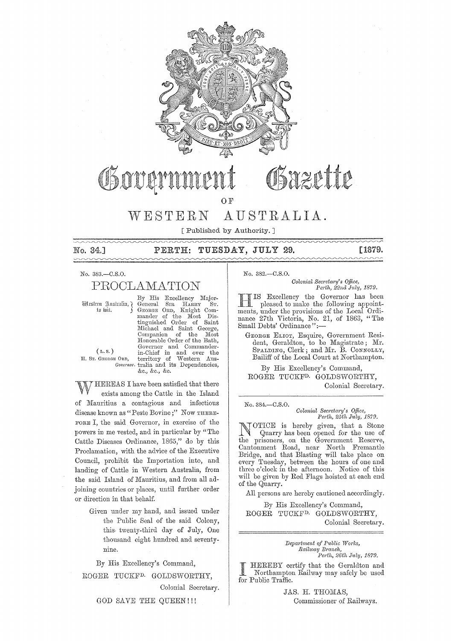

# OSazette Obover

 $\Omega$  F

#### $W$  ESTERN AUSTRALIA.

[ Published by Authority. ]

No. 34.1

#### TUESDAY, JULY 29. PERTH:

[1879.

#### No. 383 .- C.S.O.

# PROCLAMATION

Mestern Justralia, J to wit.

 $(L, S, )$ 

H. Sr. GEORGE ORD,

By His Excellency Major-General  $S_{\rm IR}$ HARRY Sт. GEORGE ORD, Knight Commander of the Most<br>tinguished Order of Dis- $\label{eq:1}$  Saint Michael and Saint George Companion of the Most<br>Honorable Order of the Bath, Governor and Commander-<br>
in-Chief in and over the<br>
E ORD, territory of Western Aus-<br>
Governor tralia and its Dependencies, &c., &c., &c.

HEREAS I have been satisfied that there exists among the Cattle in the Island of Mauritius a contagious and infectious disease known as "Peste Bovine;" Now THERE-FORE I, the said Governor, in exercise of the powers in me vested, and in particular by "The Cattle Diseases Ordinance, 1865," do by this Proclamation, with the advice of the Executive Council, prohibit the Importation into, and landing of Cattle in Western Australia, from the said Island of Mauritius, and from all adjoining countries or places, until further order or direction in that behalf.

> Given under my hand, and issued under the Public Seal of the said Colony, this twenty-third day of July, One thousand eight hundred and seventynine.

By His Excellency's Command,

ROGER TUCKF<sup>D.</sup> GOLDSWORTHY.

Colonial Secretary.

GOD SAVE THE QUEEN!!!

No. 382.-C.S.O.

Colonial Secretary's Office, Perth, 22nd July, 1879.

IS Excellency the Governor has been pleased to make the following appointments, under the provisions of the Local Ordinance 27th Victoria, No. 21, of 1863, "The Small Debts' Ordinance":-

GEORGE ELIOT, Esquire, Government Resident, Geraldton, to be Magistrate; Mr.<br>SPALDING, Clerk; and Mr. B. CONNOLLY, Bailiff of the Local Court at Northampton.

By His Excellency's Command, ROGER TUCKF<sup>D.</sup> GOLDSWORTHY, Colonial Secretary.

No. 384.-C.S.O. Colonial Secretary's Office, Perth, 25th July, 1879.

OTICE is hereby given, that a Stone Quarry has been opened for the use of the prisoners, on the Government Reserve, Cantonment Road, near North Fremantle Bridge, and that Blasting will take place on every Tuesday, between the hours of one and three o'clock in the afternoon. Notice of this will be given by Red Flags hoisted at each end of the Quarry.

All persons are hereby cautioned accordingly.

By His Excellency's Command, ROGER TUCKF<sup>D.</sup> GOLDSWORTHY, Colonial Secretary.

> Department of Public Works, Railway Branch, Perth, 26th July, 1879.

HEREBY certify that the Geraldton and Northampton Railway may safely be used for Public Traffic.

> JAS. H. THOMAS, Commissioner of Railways.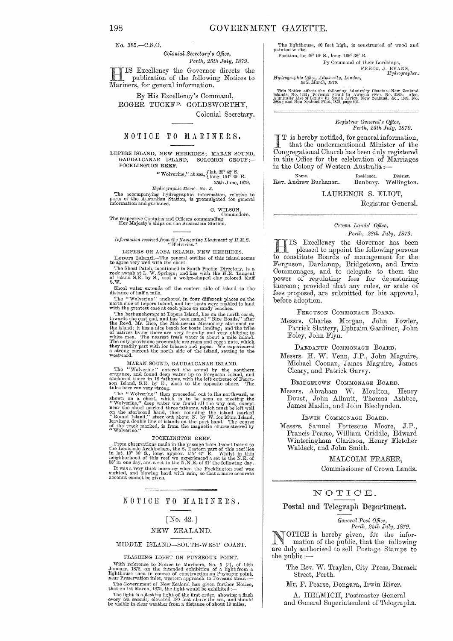No. 385 .- C.S.O.

Colonial Secretary's Office, Perth, 25th July, 1879.

IS Excellency the Governor directs the publication of the following Notices to Mariners, for general information.

By His Excellency's Command, ROGER TUCKF<sup>D.</sup> GOLDSWORTHY, Colonial Secretary.

# NOTICE TO MARINERS.

LEPERS ISLAND, NEW HEBRIDES;-MARAN SOUND, SOLOMON GROUP;-GAUDALCANAR ISLAND, POCKLINGTON REEF.

> "Wolverine," at sea,  $\left\{\begin{matrix} \text{lat. } 28^{\circ} \, 42' \, \text{S.} \\ \text{long. } 154^{\circ} \, 35' \, \text{E.} \end{matrix}\right.$ 25th June, 1879.

Hydrographic Memo. No. 3.

The accompanying hydrographic information, relative to parts of the Australian Station, is promulgated for general information and guidance.

C. WILSON, Commodore.

Co The respective Captains and Officers commanding<br>Her Majesty's ships on the Australian Station.

# Information received from the Navigating Lieutenant of H.M.S.<br>"Wolverine,"

LEPERS OR AOBA ISLAND, NEW HEBRIDES.

Lepers Island.—The general outline of this island seems<br>to agree very well with the chart.<br>The Shoal Patch, mentioned in South Pacific Directory, is a<br>The Shoal Patch, mentioned in South Pacific Directory, is a<br>rock awash  $S.w.$ 

Shoal water extends off the eastern side of island to the distance of half a mile.  $\,$ 

The "Wolverine" anchored in four different places on the north side of Lepers Island, and her boats were enabled to land with the greatest case at each place on sandy beaches.

with the greatest ease at each place on sandy beaches. The best anchorage at Lepers Island, lies on the north coast, towards the east end, and has been named "Bice Roads," after Browth the Bevd. Mr. Bice, the Melanesian Mi

#### MARAN SOUND, GAUDALCANAR ISLAND.

MARAN SOUND, GAUDALCANAR ISLAND.<br>
The "Wolverine" entered the southern<br>
The "Wolverine" enterd the southern<br>
entrance, and found deep water up to Ferguson Island, and<br>
anchored there in 18 fathoms, with the left extreme o

#### POCKLINGTON REEF.

From observations made in the passage from Isabel Island to<br>the Louisiade Archipelago, the S. Eastern part of this reef lies<br>in lat. 10° 36' S., long. approx. 155° 47' E. Whilst in this<br>neighborhood of this reef we experie The model of the R.R.B. of the Honowing day.<br>If was a very thick morning when the Pocklington reef was<br>sighted, and blowing hard with rain, so that a more accurate<br>account cannot be given.

### NOTICE TO MARINERS.

# $\lceil$  No. 42.]

#### NEW ZEALAND.

#### MIDDLE ISLAND-SOUTH-WEST COAST.

#### FLASHING LIGHT ON PUYSEGUR POINT.

The reserved in the interaction of a light from a light frequence to Notice to Mariners, No. 5 (3), of 14th January, 1878, on the intended exhibition of a light from a light from a light from the mean Preservation inlet, w

The light is a flashing light of the first order, showing a flash<br>every ten seconds, elevated 180 feet above the sea, and should<br>be visible in clear weather from a distance of about 19 miles.

The lighthouse, 40 feet high, is constructed of wood and painted white. Position, lat 46° 10' S., long. 166° 38' E.

By Command of their Lordships,

FREDK. J. EVANS,<br>Hydrographer.

 $\label{thm:2} Hydrographic~Office, Admiralty, London, 25th March, 1879.$ 

This Notice affects the following Admiralty Charts:—New Zealand is<br>lands, No. 1212; Foveaux strait to Awarna river, No. 2580: Also, Admiralty List of Lights in South Africa, New Zealand, &c., 1579, No. 3282; and New Zeala

#### Registrar General's Office, Perth, 26th July, 1879.

T is hereby notified, for general information, that the undermentioned Minister of the Congregational Church has been duly registered in this Office for the celebration of Marriages in the Colony of Western Australia:

Name. Rev. Andrew Buchanan.

Residence. District. Bunbury. Wellington.

LAURENCE S. ELIOT,

Registrar General.

### Crown Lands' Office.

Perth, 28th July, 1879.

IS Excellency the Governor has been pleased to appoint the following persons to constitute Boards of management for the<br>Ferguson, Dardanup, Bridgetown, and Irwin Commonages, and to delegate to them the power of regulating fees for depasturing<br>thereon; provided that any rules, or scale of fees proposed, are submitted for his approval, before adoption.

FERGUSON COMMONAGE BOARD.

Messrs. Charles Morgan, John Fowler, Patrick Slattery, Ephraim Gardiner, John Foley, John Flyn.

DARDANUP COMMONAGE BOARD.

Messrs. H. W. Venn, J.P., John Maguire, Michael Coonan, James Maguire, James Cleary, and Patrick Garvy.

BRIDGETOWN COMMONAGE BOARD.

Messrs. Abraham W. Moulton, Henry Doust, John Allnutt, Thomas Ashbee, James Maslin, and John Blechynden.

IRWIN COMMONAGE BOARD.

Messrs. Samuel Fortescue Moore,  $J.P.$ Francis Pearse, William Criddle, Edward<br>Winteringham Clarkson, Henry Fletcher<br>Waldeck, and John Smith.

MALCOLM FRASER,

Commissioner of Crown Lands.

## NOTICE.

#### Postal and Telegraph Department.

#### General Post Office, Perth,  $25th$  July, 1879.

OTICE is hereby given, for the information of the public, that the following are duly authorised to sell Postage Stamps to the public:-

The Rev. W. Traylen, City Press, Barrack Street, Perth.

Mr. F. Pearse, Dongara, Irwin River.

A. HELMICH, Postmaster General and General Superintendent of Telegraphs.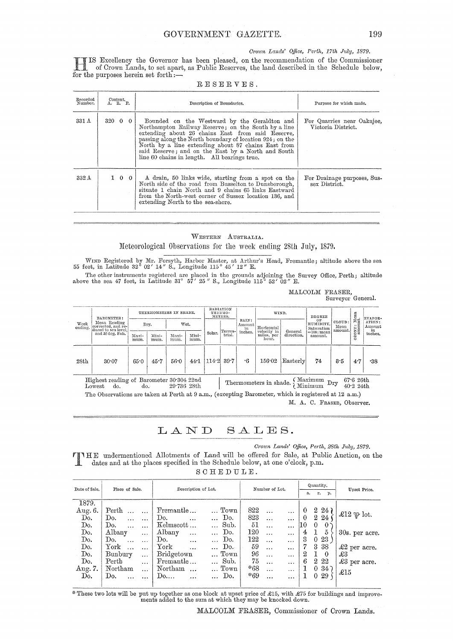Crown Lands' Office, Perth, 17th July, 1879.

IS Excellency the Governor has been pleased, on the recommendation of the Commissioner of Crown Lands, to set apart, as Public Reserves, the land described in the Schedule below, for the purposes herein set forth :-

| Recorded<br>Number. | Content.<br>A. R. P. | Description of Boundaries.                                                                                                                                                                                                                                                                                                                                                        | Purpose for which made.                          |
|---------------------|----------------------|-----------------------------------------------------------------------------------------------------------------------------------------------------------------------------------------------------------------------------------------------------------------------------------------------------------------------------------------------------------------------------------|--------------------------------------------------|
| 331 <sub>A</sub>    | $320 \t0 \t0$        | Bounded on the Westward by the Geraldton and<br>Northampton Railway Reserve; on the South by a line<br>extending about 26 chains East from said Reserve,<br>passing along the North boundary of location 924; on the<br>North by a line extending about 87 chains East from<br>said Reserve; and on the East by a North and South<br>line 60 chains in length. All bearings true. | For Quarries near Oakajee,<br>Victoria District. |
| $332\,\mathrm{A}$   | $1 \quad 0 \quad 0$  | A drain, 50 links wide, starting from a spot on the<br>North side of the road from Busselton to Dunsborough,<br>situate 1 chain North and 9 chains 65 links Eastward<br>from the North-west corner of Sussex location 136, and<br>extending North to the sea-shore.                                                                                                               | For Drainage purposes, Sus-<br>sex District.     |

RESERVES.

WESTERN AUSTRALIA. Meteorological Observations for the week ending 28th July, 1879.

WIND Registered by Mr. Forsyth, Harbor Master, at Arthur's Head, Fremantle; altitude above the sea 55 feet, in Latitude 32° 02' 14" S., Longitude 115° 45' 12" E.

The other instruments registered are placed in the grounds adjoining the Survey Office, Perth; altitude above the sea 47 feet, in Latitude 31° 57' 25" S., Longitude 115° 52' 02" E.

MALCOLM FRASER,

Surveyor General.

| Week<br>ending. | BAROMETER:<br>Mean Reading<br>corrected, and re-<br>duced to sea level.<br>and 32 deg. Fah. | THERMOMETERS IN SHADE. |                       | RADIATION<br>THERMO-<br>METERS.<br>RAIN: |                       | WIND.  |                   | DEGREE<br>OF            | CLOUD:                                           | Mean<br>nt.           | EVAPOR-<br>ATION:                                   |                   |                              |                         |
|-----------------|---------------------------------------------------------------------------------------------|------------------------|-----------------------|------------------------------------------|-----------------------|--------|-------------------|-------------------------|--------------------------------------------------|-----------------------|-----------------------------------------------------|-------------------|------------------------------|-------------------------|
|                 |                                                                                             | Maxi-<br>mum.          | Dry.<br>Mini-<br>mum. | Maxi-<br>mum.                            | Wet.<br>Mini-<br>mum. | Solar. | Terres-<br>trial. | Amount<br>in<br>inches. | Horizontal<br>velocity in<br>miles, per<br>hour. | General<br>direction. | HUMIDITY.<br>Saturation<br>$=100$ : mean<br>amount. | Mean<br>' amount. | … ⊨<br>ONE:<br>۰Ń<br>$\circ$ | Amount<br>in<br>inches. |
| 28th            | 30.07                                                                                       | 65.0                   | 45.7                  | 56.0                                     | 44.1                  |        | 114.2 39.7        | $\cdot 6$               | 156.02                                           | Easterly              | 74                                                  | 8.5               | 4.7                          | .38                     |

Thermometers in shade.  $\left\{\begin{array}{cc}\text{Maximum} & \text{Dry} & 67.6\text{ 26th} \\ \text{Minimum} & \text{Dry} & 40.2\text{ 24th} \end{array}\right.$ Highest reading of Barometer 30.304 22nd do. 29.736 28th Lowest do.

The Observations are taken at Perth at 9 a.m., (excepting Barometer, which is registered at 12 a.m.) M. A. C. FRASER, Observer.

LAND SALES.

Crown Lands' Office, Perth, 28th July, 1879.

**TIME** undermentioned Allotments of Land will be offered for Sale, at Public Auction, on the dates and at the places specified in the Schedule below, at one o'clock, p.m.

SCHEDULE.

| Date of Sale. | Place of Sale.                    | Description of Lot.                   | Number of Lot.                | Quantity.                          | Upset Price.            |  |
|---------------|-----------------------------------|---------------------------------------|-------------------------------|------------------------------------|-------------------------|--|
|               |                                   |                                       |                               | $\mathbf{r}_{\bullet}$<br>p.<br>a. |                         |  |
| 1879.         |                                   |                                       |                               |                                    |                         |  |
| Aug. 6.       | Perth<br>$\cdots$                 | Fremantle<br>Town                     | 822<br>$\cdots$<br>.          | $2\,24$<br>0                       |                         |  |
| Do.           | Do.<br>$\sim$ 4.4 $\sim$          | Do.<br>Do.<br>$\cdots$<br>$\ddotsc$   | 823<br>$\cdots$<br>.          | $2\,24$<br>$\theta$                | £12 $\mathfrak{P}$ lot. |  |
| Do.           | Do.<br>$\cdots$                   | Kelmscott<br>Sub.<br>$\cdots$         | 51<br>$\ddotsc$<br>           | 10<br>$\theta$<br>$\theta$         |                         |  |
| Do.           | Albany<br>$\cdots$                | Albany<br>Do.<br>$\cdots$<br>$\cdots$ | 120<br>$\ddotsc$<br>.         | 5<br>4                             | 30s. per acre.          |  |
| Do.           | Do.<br>$\sim 10^{-1}$<br>$\cdots$ | Do.<br>Do.<br>$\ddotsc$               | 122<br>$\ddotsc$<br>$\cdots$  | 3<br>23<br>0                       |                         |  |
| Do.           | York<br>$\ddotsc$                 | $\,\mathrm{York}$<br>Do.              | 59<br>$\ddotsc$<br>           | 3<br>-38                           | $\pounds2$ per acre.    |  |
| Do.           | Bunbury<br>$\ddotsc$              | Bridgetown<br>Town                    | 96<br>$\cdots$<br>.           | 2<br>$\theta$                      | £3                      |  |
| Do.           | Perth<br>$\cdots$                 | Sub.<br>Fremantle                     | - 75<br>$\ddotsc$<br>$\cdots$ | 6<br>$2\,22$                       | £3 per acre.            |  |
| Aug. 7.       | Northam<br>$\ldots$ .             | Northam<br>Town<br>$\ddotsc$          | *68<br>$\cdots$<br>$\cdots$   | 0.34                               |                         |  |
| Do.           | Do.<br>$\cdots$                   | $\ldots$ Do.<br>Do<br>$\cdots$        | $*69$<br>$\cdots$<br>$\cdots$ | 029<br>$\mathbf{I}$                | $\pounds15$             |  |
|               |                                   |                                       |                               |                                    |                         |  |

\* These two lots will be put up together as one block at upset price of £15, with £75 for buildings and improvements added to the sum at which they may be knocked down.

MALCOLM FRASER, Commissioner of Crown Lands.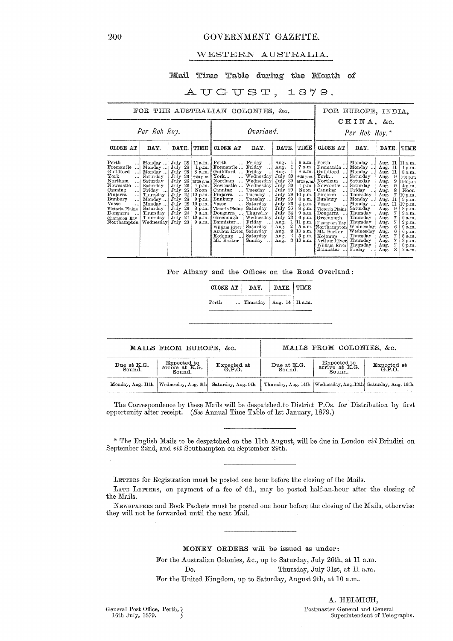## 200 GOVERNMENT GAZETTE.

# WESTERN AUSTRALIA.

# Mail Time Table during the Month of

# AUGUST, 1879.

| FOR THE AUSTRALIAN COLONIES. &c.                                                                                                                                                                                                                                                                                                                                                                                                                  |                                                                                                                                                                                    |                                                                                                                                                                        |                                                                                                                                                                                                                                                                                                   |                                                                                                                                                                                                                                            |                                                                                                                                                                                                                                  |                                                                                                                                                                                     |                                                                                                                                                                                                                                                                                                                                                                                          | FOR EUROPE, INDIA,                                                                                                                                                                                                               |                                                                                                                                                                                                               |                                                                                                                                                                                                                    |
|---------------------------------------------------------------------------------------------------------------------------------------------------------------------------------------------------------------------------------------------------------------------------------------------------------------------------------------------------------------------------------------------------------------------------------------------------|------------------------------------------------------------------------------------------------------------------------------------------------------------------------------------|------------------------------------------------------------------------------------------------------------------------------------------------------------------------|---------------------------------------------------------------------------------------------------------------------------------------------------------------------------------------------------------------------------------------------------------------------------------------------------|--------------------------------------------------------------------------------------------------------------------------------------------------------------------------------------------------------------------------------------------|----------------------------------------------------------------------------------------------------------------------------------------------------------------------------------------------------------------------------------|-------------------------------------------------------------------------------------------------------------------------------------------------------------------------------------|------------------------------------------------------------------------------------------------------------------------------------------------------------------------------------------------------------------------------------------------------------------------------------------------------------------------------------------------------------------------------------------|----------------------------------------------------------------------------------------------------------------------------------------------------------------------------------------------------------------------------------|---------------------------------------------------------------------------------------------------------------------------------------------------------------------------------------------------------------|--------------------------------------------------------------------------------------------------------------------------------------------------------------------------------------------------------------------|
| Per Rob Roy.                                                                                                                                                                                                                                                                                                                                                                                                                                      | Overland.                                                                                                                                                                          |                                                                                                                                                                        |                                                                                                                                                                                                                                                                                                   |                                                                                                                                                                                                                                            | CHINA, &c.<br>Per Rob Roy.*                                                                                                                                                                                                      |                                                                                                                                                                                     |                                                                                                                                                                                                                                                                                                                                                                                          |                                                                                                                                                                                                                                  |                                                                                                                                                                                                               |                                                                                                                                                                                                                    |
| CLOSE AT<br>DAY.                                                                                                                                                                                                                                                                                                                                                                                                                                  | DATE.<br>TIME                                                                                                                                                                      |                                                                                                                                                                        | CLOSE AT                                                                                                                                                                                                                                                                                          | DAY.                                                                                                                                                                                                                                       | DATE.                                                                                                                                                                                                                            | TIME                                                                                                                                                                                | CLOSE AT                                                                                                                                                                                                                                                                                                                                                                                 | DAY.                                                                                                                                                                                                                             | DATE.                                                                                                                                                                                                         | TIME                                                                                                                                                                                                               |
| Perth<br>Monday<br>. 1<br>Fremantle<br>Monday<br>Guildford<br>Monday<br>!<br>$_{\rm{York}}$<br>Saturday<br>$\cdots$<br>Northam<br>Saturday<br>$\ddotsc$<br>Newcastle<br>Saturday<br>$\ddotsc$<br>Canning<br>Friday<br>$\ddotsc$<br>Pinjarra<br>Thursday<br>$\cdots$<br>Bunbury<br>Monday<br><br>Vasse<br>Monday<br>اءء<br>Saturday<br>Victoria Plains<br>Thursday<br>Dongarra<br>$\cdots$<br>Thursday<br>Champion Bay<br>Wednesday<br>Northampton | July 28<br>July<br>28<br>28<br>July<br>26<br>July<br>July 26<br>July 26<br>July<br>25<br>24<br>July<br>July<br>28<br>28<br>July<br>26<br>July<br>-24<br>July<br>July 24<br>July 23 | $11a.m.$ Perth<br>1 p.m.<br>8a.m.<br>2.30 p.m.<br>12.30 p.m.<br>4 p.m.<br>Noon<br>[10 p.m.]<br>$9 \text{ p.m.}$<br>$10$ p.m.<br>8 p.m.<br>$9$ a.m.<br>10 a.m.<br>9a.m. | $\ddotsc$<br>Fremantle<br>Guildford<br>$\ddotsc$<br>${\tt York} \dots$<br>!<br>Northam<br>$\ldots$<br>Newcastle<br>Canning<br> <br>Pinjarra<br><br>Bunbury<br>!<br>Vasse<br> <br>Victoria Plains<br>Dongarra<br>Greenough<br>Bannister<br>William River<br>Arthur Riveri<br>Kojonup<br>Mt. Barker | Friday<br>$\ddots$<br>Friday<br>. 1<br>Friday<br><br>Wednesday<br>Wednesday July 30<br>Wednesday<br>Tuesday<br>Tuesday<br>Tuesday<br>Saturday<br>Saturday<br>Thursday<br>Wednesday<br>Friday<br>Saturday<br>Saturday<br>Saturday<br>Sunday | Aug.<br>1<br>1<br>Aug.<br>1<br>Aug.<br>July 30<br>July<br>-30<br>July<br>29<br>29<br>July<br>29<br>July<br>26<br>July<br>26<br>July<br>24<br>July<br>July<br>23<br>1<br>Aug.<br>2<br>Aug.<br>2<br>Aug.<br>$^{2}$<br>Aug.<br>Aug. | 7 a.m.<br>8 a.m.<br>2.30 p.m.<br>$4$ p.m.<br>Noon<br>10 p.m.<br>8a.m.<br>4 p.m.<br>8 p.m.<br>9a.m.<br>$6$ p.m.<br>$ 11 \text{ p.m.} $<br>10 a.m.<br>$5 \text{ p.m.}$<br>$3 10$ a.m. | $9$ a.m. Perth<br>Fremantle<br>Guildford<br>${\rm York} \ldots$<br>12.30 p.m. Northam<br>انت<br>Newcastle<br>Canning<br>$\ddotsc$<br>Pinjarra<br>$\cdots$<br>Bunbury<br>$\ddotsc$<br>Vasse<br>$\dddotsc$<br>Victoria Plains<br>Dongarra<br>Greenough<br>Champion Bay<br>5 a.m. Northampton Wednesday<br>Mt. Barker<br>Kojonup<br>Arthur River<br>William River<br>Bannister<br>$\ddotsc$ | Monday<br>Monday<br>$\ddotsc$<br>Monday<br>Saturday<br>Saturday<br>Saturday<br>Friday<br>Thursday<br>Monday<br>Monday<br>Saturday<br>Thursday<br>Thursday<br>Thursday<br>Wednesday<br>Thursday<br>Thursday<br>Thursday<br>Friday | Aug. 11<br>Aug. 11<br>11<br>Aug.<br>Aug.<br>9<br>9<br>Aug.<br>Aug.<br>9<br>8<br>Aug.<br>Aug.<br>Aug.<br>11<br>11<br>Aug.<br>9<br>Aug.<br>Aug.<br>Aug.<br>Aug.<br>Aug.<br>Aug.<br>Aug.<br>Aug.<br>Aug.<br>Aug. | 11 a.m.<br>1 p.m.<br>8 a.m.<br>2'30 p.m<br>12.30p.m<br>4 p.m.<br>Noon<br>10 p.m.<br>$9\,\mathrm{p.m.}$<br>10 p.m.<br>8 p.m.<br>9a.m.<br>9 a.m.<br>2 p.m.<br>9a.m.<br>6 p.m.<br>8 a.m.<br>3 p.m.<br>8 p.m.<br>2a.m. |

For Albany and the Offices on the Road Overland:

| CLOSE AT | DAY.                         | $ $ DATE. TIME |  |  |  |
|----------|------------------------------|----------------|--|--|--|
| Perth    | Thursday   Aug. 14   11 a.m. |                |  |  |  |

|                       | MAILS FROM EUROPE, &c.                                                   |  | MAILS FROM COLONIES, &c. |                                                                  |                       |  |  |
|-----------------------|--------------------------------------------------------------------------|--|--------------------------|------------------------------------------------------------------|-----------------------|--|--|
| Due at K.G.<br>Sound. | Expected to<br>Expected at<br>$arri\bar{v}e$ at K.G.<br>G.P.O.<br>Sound. |  | Due at K.G.<br>Sound.    | <b>Expected to</b><br>arrive at K.G.<br>Sound.                   | Expected at<br>G.P.O. |  |  |
|                       | Monday, Aug. 11th   Wednesday, Aug. 6th   Saturday, Aug. 9th             |  |                          | Thursday, Aug. 14th   Wednesday, Aug. 13th   Saturday, Aug. 16th |                       |  |  |

The Correspondence by these Mails will be despatched.to District P.Os. for Distribution by first opportunity after receipt. *(See* Annual Time Table oflst January, 1879.)

\* The English Mails to be despatched on the 11th August, will be due in London *via* Brindisi on September 22nd, and *via* Southampton on September 29th.

LETTERS for Registration must be posted one hour before the closing of the Mails.

LATE LE1'TERS, on payment of a fee of 6d., may be posted half-an-hour after the closing of the Mails.

NEWSPAPERS and Book Packets must be posted one hour before the closing of the Mails, otherwise they will not be forwarded until the next Mail.

### MONEY ORDERS will be issued as under:

For the Australian Colonies, &c., up to Saturday, July 26th, at 11 a.m. Do. Thursday, July 31st, at 11 a.m. For the United Kingdom, up to Saturday, August 9th, at 10 a.m.

A. HELMICH, Postmaster General and General Superintendent of Telegraphs.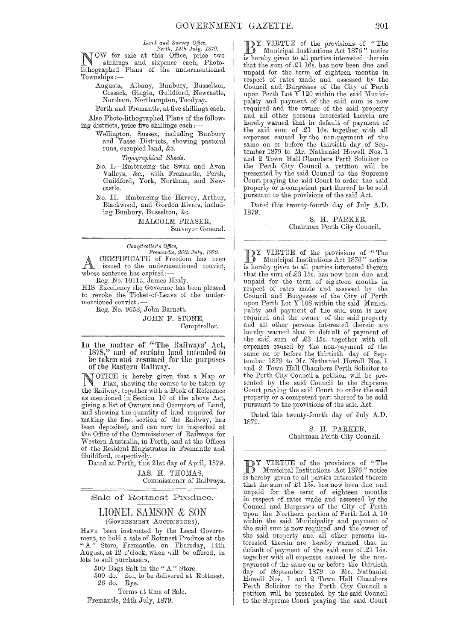*Land and Survey Office,*<br> *Perth, 14th July, 1879.*<br> **NOW** for sale at this Office, price two<br>
shillings and sixpence each, Photo-<br>
lithographed Plays shillings and sixpence each, Photolithographed Plans of the undermentioned. Townships ;-

Augusta, Albany, Bunbury, Busselton, Cossack, Gingin, Guildford, Newcastle, Northam, Northampton, Toodyay.

Perth and Fremantle, at five shillings each. Also Photo-lithographed Plans of the follow-

ing districts, price five shillings each;- Wellington, Sussex, including Bunbury and Vasse Districts, showing pastoral runs, occupied land, &c.

*Topogmphical Sheets.* 

- No. I.-Embracing the Swan and Avon Valleys, &c., with Fremantle, Perth, Guildford, York, Northam, and Newcastle.
- No. H.-Embracing the Harvey, Arthur, Blackwood, and Gordon Rivers, including Bunbury, Busselton, &c.

MALCOLM FRASER, Surveyor General.

*Cornpi1'oller's Office, Fremantle, 26th July, 1879.*  A CERTIFICATE of Freedom has been<br>issued to the undermentioned convict, whose sentence has expired:-

Reg-. No. 10113, James Healy.

HIS Excellency the Governor has been pleased to revoke the Ticket-of-Leave of the undermentioned convict:

Reg. No. 9658, John Barnett.

JOHN F. STONE, Comptroller.

In the matter of "The Railways' Act, 1878," and of certain land intended to be taken and resumed for the purposes<br>of the Eastern Railway.

OTICE is hereby given that a Map or Plan, showing the course to be taken by the Railway, together with a Book of Reference as mentioned in Section 10 of the above Act, giving a list of Owners and Occupiers of Land, and showing the quantity of land required for making the first section of the Railway, has been deposited, and can now be inspected at the Office of the Commissioner of Railways for Western Australia, in Perth, and at the Offices of the Resident Magistrates in Fremantle and Guildford, respectively.

Dated at Perth, this 21st day of April, 1879.

JAS. H. THOMAS, Commissioner of Railways.

#### Sale of Rottnest Produce.

# LIONEL SAMSON & SON (GOVERNMENT AUCTIONEERS),

HAVE been instructed by the Local Government, to hold a sale of Rottnest Produce at the " A" Store, Fremantle, on Thursday, 14th August, at 12 o'clock, when will be offered, in lots to suit purchasers,

500 Bags Salt in the "A" Store.

500 do. do., to be delivered at Rottnest. 26 do. Rye.

Terms at time of Sale.

Fremantle, 24th July, 1879.

**BY VIRTUE of the provisions of "The** Municipal Institutions Act 1876" notice<br>is bareby given to all parties interested therein is hereby given to all parties interested therein that the sum of £1 16s. has now been due and unpaid for the term of eighteen months in respect of rates made and assessed by the Council and Burgesses of the City of Perth upon Perth Lot Y 120 within the said Municipality and payment of the said sum is now required and the owner of the said property and all other persons interested therein are hereby warned that in default of payment of the said sum of £1 16s. together with all expenses caused by the non-payment of the same on or before the thirtieth day of September 1879 to Mr. Nathaniel Howell Nos. 1 and 2 Town Hall Chambers Perth Solicitor to the Perth City Council a petition will be presented by the said Council to the Supreme Court praying the said Court to order the said property or a competent part thereof to be sold pursuant to the provisions of the said Act.

Dated this twenty-fourth day of July A.D. 1879.

#### S. H. PARKER, Chairman Perth City Council.

BY VIRTUE of the provisions of "The Municipal Institutions Act 1876" notice is hereby given to all parties interested therein that the sum of £3 15s. has now been due and unpaid for the term of eighteen months in respect of rates made and assessed by the Council and Burgesses of the City of Perth upon Perth Lot Y 108 within the said Municipality and payment of the said sum is now required and the owner of the said property and all other persons interested therein are hereby warned that in default of payment of the said sum of £3 15s. together with all expenses caused by the non-payment of the same on or before the thirtieth day of September 1879 to Mr. Nathaniel Howell Nos. 1 and 2 Town Hall Chambers Perth Solicitor to the Perth City Council a petition will be presented by the said Council to the Supreme Court praying the said Court to order the said property or a competent part thereof to be sold pursuant to the provisions of the said Act.

Dated this twenty-fourth day of July A.D. 1879.

S. R. PARKER, Chairman Perth City Oouncil.

BY VIRTUE of the provisions of "The<br>
B Municipal Institutions Act 1876" notice is hereby given to all parties interested therein that the sum of  $\pounds1$  15s. has now been due and unpaid for the term of eighteen months in respect of rates made and assessed by the Council and Burgesses of the City of Perth upon the Northern portion of Perth Lot A 10 within the said Municipality and payment of the said sum is now required and the owner of the said property and all other persons interested therein are hereby warned that in default of payment of the said sum of £1 15s. together with all expenses caused by the nonpayment of the same on or before the thirtieth day of September 1879 to Mr. Nathaniel Howell Nos. 1 and 2 Town Hall Chambers Perth Solicitor to the Perth City Council a petition will be presented by the said Council to the Supreme Court praying the said Court